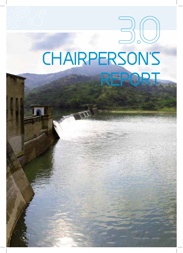# CHAIRPERSON'S REPORT

 $\sqrt{\frac{1}{14}}$ 

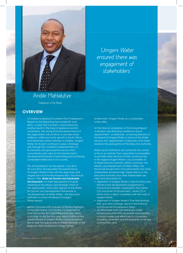

*"Umgeni Water ensured there was engagement of stakeholders"*

# Andile Mahlalutye

*Chairperson of the Board*

### **OVERVIEW**

It is indeed a pleasure to present the Chairperson's Report for the Reporting Year ended 30 June 2013 – a year that has been characterised by positive results in the face of global economic uncertainty. The strong financial performance of the organisation will continue to provide future resiliency, whilst economic growth in South Africa and elsewhere further attempt to stabilise. Umgeni Water, for its part, continues to play a strategic role through the consistent implementation of its mandate and good performance which cumulatively add value to the Government's developmental priority of promoting and achieving sustainable livelihoods in our country.

This Annual Report, for the period 1 July 2012 - 30 June 2013, encapsulates the performance of Umgeni Water, in line with the objectives and targets set in its Five-Year Business Plan. The Annual Report's title, **Water for Growth and Sustainable Development**, is in itself appropriate as it gives meaning to the Mission and Strategic Intent of the organisation, and is also aligned to the Water for Growth and Development Framework of the Department of Water Affairs - the Executive Authority to whom the Board of Umgeni Water reports.

Before I proceed with a review of the key highlights of the past twelve (12) months, it is important to note that as the 2012/2013 Reporting Year came to a close, so did the four-year term of office of the present Board of Umgeni Water. I would therefore like to take this opportunity to thank members of the Board for their contributions which further

#### entrenched Umgeni Water as a sustainable water utility.

At the time of compilation of this Annual Report a decision was still being awaited on the reappointment - or otherwise - of serving Directors of the Board of Umgeni Water. In terms of the Water Services Act, appointment of Directors of all water boards is the prerogative of the Executive Authority.

Water sector institutions are constantly the centre of focus as vehicles that capacitate municipalities to provide water services to their constituencies. In this regard Umgeni Water's accountability to its Water Services Authority (WSA) customers, the Ministry and Department of Water Affairs, the Provincial Government of KwaZulu-Natal and other stakeholders remained high. Expectations of the Executive Authority and other Stakeholders are clear and articulated as:

- Alignment of Umgeni Water's core functions and infrastructure development programme to Government priorities, expressed in the twelve (12) outcomes of Government - seven (7) of which have a direct correlation with the work of Umgeni Water,
- Alignment of Umgeni Water's Five-Year Business Plan and other strategic plans to the National and Provincial Development Plans,
- An affordable tariff and adequate water resource provision that will enable municipalities to supply water cost effectively to consumers, including vulnerable and the presently un-served communities, and

15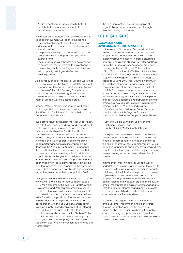• Achievement of measurable results that will contribute to the accomplishment of Government outcomes.

In the context of Executive Authority expectations, significant movement was seen in the arena of institutional realianment during the financial year under review. In this regard, two key developments are worth noting:

- The present twelve (12) water boards are to be reduced to nine (9) as part of a optimisation exercise, and
- The mandate of water boards is to be extended to ensure that those with high technical capacity are used optimally in assisting sector institutions with capacity building and effective service provision.

As a consequence of the above, Umgeni Water has been requested by the KwaZulu-Natal Department of Cooperative Governance and Traditional Affairs and the KwaZulu-Natal Planning Commission to provide assistance in resolving water provision challenges that are being experienced in areas north of Umgeni Water's gazetted area.

Umgeni Water is already undertaking work south of the organisation's designated service area in the Alfred Nzo District Municipality on behalf of the Department of Water Affairs.

The positive results attained in the year under review are a testimony to the hard work and commitment of the staff of Umgeni Water. This was confirmed independently when the First National Bank-KwaZulu-Natal Top Business Portfolio Award was made to Umgeni Water for performance excellence in the regional water sector. In acknowledging good performance, it is also incumbent on the Board, as the Accounting Authority, to recognise the need to implement appropriate actions that address problems where they exist. In relation to organisational challenges, I am delighted to state that the Board is pleased with the progress that has been made with the implementation of an action plan that addresses and responds to the outcomes of a no-holds-barred internal climate and attitudinal survey that was conducted among staff in 2012.

During the period under review the Board continued to work closely with the Political Leaderships of all six (6) WSA customers, the KwaZulu-Natal Provincial Government and Potential customers in order to jointly develop solutions for some challenges that had been faced and, in some instances, continue to be faced in the provision of water to consumers. Two examples are conspicuous in this regard: collaboration with the Ugu District Municipality in resolving supply-related problems that developed as a result of storm damage to reticulation infrastructure, and discussions with uThukela Water and its customers (Amajuba District Municipality, Umzinyathi District Municipality and Newcastle Local Municipality) on interventions to enhance bulk water supply.

The following sections provide a synopsis of organisational performance related through selected strategic outcomes.

## **KEY HIGHLIGHTS**

#### **COMMUNITY AND ENVIRONMENTAL SUSTAINABILITY**

In the wake of Government's commitment to extend basic water services to all communities, Umgeni Water has accelerated the roll out of major infrastructure that will increase assurance of supply and assist in eliminating water backlogs within the Umgeni Water operational area and beyond. To this end, Umgeni Water (during 2012/2013) committed R353million of its R4.8billion capital expenditure programme to developmental projects which began in the prior year. Progress spend to 30 June 2013 was R308million or 87% of the total developmental capex programme. The implementation of this programme will make it possible for a larger number of people to have easier access to safe drinking water while at the same time ensuring that infrastructure is in place to meet future economic and population growth projections. Key rural development infrastructure projects in the 2012/2013 period include:

- The Greater Eston Bulk Water Supply Scheme,
- Mhlabatshane Sub-Regional Scheme,
- Maphumulo Bulk Water Supply Scheme Phases 1 & 2,
- Lower Thukela Bulk Water Supply Scheme,
- Richmond Pipeline, and
- uMshwathi Bulk Water Supply Scheme.

In the period under review, the Maphumulo Bulk Water Supply Scheme Phase 1 was commissioned. When all its components have been completed, the entire scheme will serve approximately 150 000 people in Maphumulo and surrounding areas where, prior to the implementation of the project, access to safe drinking water had been either difficult or erratic.

It is important that in whatever Umgeni Water undertakes as an organisational target there has to be concomitant positive socio-economic impacts. In this regard, the infrastructure projects that were implemented in the current year created 538 employment opportunities and R10.8million was paid in salaries and wages. In order to make future employment prospects easier, workers engaged for infrastructure development and renewal projects are taught new skills which will allow them to compete for positions elsewhere.

In line with the organisation's commitment to empower small, medium and micro enterprises through facilitating work for them, a highly successful briefing session was held with suppliers – both practising and potential – to inform them about project opportunities that will be available to SMMEs in the future.

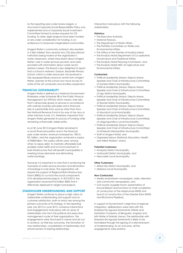As the reporting year under review began, a structured Corporate Social Responsibility Policy was implemented and a Corporate Social Investment Committee formed to review requests for CSI funding. To date, eight projects have been funded, or are under consideration for funding, in an endeavour to empower marginalised communities.

Umgeni Water's community outreach also resulted in 4 362 children from seventy-two (72) educational institutions being hosted at the organisation's water classrooms, where they learnt about Umgeni Water's role in water services provision and were provided with information about water sector related careers. The Board is also delighted to report that a school in Molweni, Durban, Bazamile Primary School, which is under resourced, has received a fully equipped library resource centre from Umgeni Water. Learners at this school now have access to state-of-the art computers and ancillary equipment.

#### **FINANCIAL SUSTAINABILITY**

Umgeni Water is defined as a National Government Enterprise under Schedule 3B of the Public Finance Management Act (PFMA) which means, inter-alia, that it will provide goods or services in accordance with ordinary business principles and is financed fully or substantially from sources other than from the National Revenue Fund or by way of tax, levy or other statutory funds. It is, therefore, important that Umgeni Water generates its sources of funding while remaining a financially viable entity.

As at 30 June 2013 Umgeni Water remained in a sound financial position and in the financial year under review, revenue increased by 13% to R2.1billion, and the organisation achieved a surplus of R583million. This surplus will be used, among other, to repay debt, to maintain affordable bulk potable water tariffs and to fund investment in bulk infrastructure that will benefit municipalities in meeting future demands and eliminating water backlogs.

However, it is important to note that in achieving the mandate of water service provision and elimination of backlogs in rural areas, the organisation will require the support of Regional Bulk Infrastructure Grant (RBIG) to co-fund the social components of its developmental projects. In 2012/2013, the organisation received R167million RBIG that it effectively deployed in target rural projects.

#### **STAKEHOLDER UNDERSTANDING AND SUPPORT**

Umgeni Water continues to place a high value on stakeholder understanding and support and on customer satisfaction, both of which are among the primary outcomes of its strategy. In the reporting year July 2012 to June 2013, numerous interactions and engagements took place with an array of stakeholders who form the political and executive management nuclei of their organisations. The engagements were structured in nature and set out to achieve, as their key outcomes, the formation of new relationships, consolidation of relationships and enhancement of existing relationships.

Interactions took place with the following stakeholders:

#### **Statutory:**

- The Executive Authority,
- National Treasury
- The Department of Water Affairs,
- The Portfolio Committee on Water and Environmental Affairs,
- The Office of the Premier of KwaZulu-Natal,
- The KwaZulu-Natal Department of Co-operative Governance and Traditional Affairs,
- The KwaZulu-Natal Planning Commission, and
- The KwaZulu-Natal MEC for Agriculture and Environmental Affairs.

#### **Contracted:**

- Political Leadership (Mayor, Deputy Mayor, Speaker and Chair of Infrastructure Committee) of iLembe District Municipality,
- Political Leadership (Mayor, Deputy Mayor, Speaker and Chair of Infrastructure Committee) of Ugu District Municipality,
- Political Leadership (Mayor, Deputy Mayor, Speaker and Chair of Infrastructure Committee) of Sisonke District Municipality,
- Political Leadership (Mayor, Deputy Mayor, Speaker and Chair of Infrastructure Committee) of Msunduzi Local Municipality,
- Political Leadership (Mayor, Deputy Mayor, Speaker and Chair of Infrastructure Committee) of uMgungundlovu Local Municipality,
- Political Leadership (Mayor, Deputy Mayor, Speaker and Chair of Infrastructure Committee) of eThekwini Metropolitan Municipality,
- Staff of Umgeni Water, and
- Organised labour (National, Education, Health and Allied Workers' Union).

#### **Potential Customers:**

- Amajuba District Municipality,
- Umzinyathi District Municipality, and
- Newcastle Local Municipality.

#### **Other Customers:**

- Alfred Nzo District Municipality, and
- Mbizana Local Municipality.

#### **Non-Contracted:**

- Media (mainstream newspapers, radio, television and community newspapers), and
- Civil society (supplier forum; presentation of Annual Report and functions to mark completion of construction of the Maphumulo BWSS and launch of construction of the Greater Eston BWSS and Richmond Pipeline).

In support of Government's objective of regional integration, deliberations were held with the Empresa De Aguase Sanemento (Water and Sanitation Company of Benguela, Angola) and Athi Water of Nairobi, Kenya. The relationship with Empresa De Aguase Sanemento is likely to be formalised through the signing of a Memorandum of Understanding. As an outcome, all the engagements were positive.

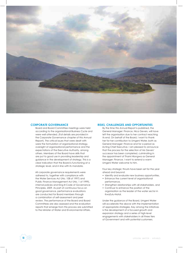

#### **CORPORATE GOVERNANCE**

Board and Board Committee meetings were held according to the organisational Business Cycle and were well attended. (Full details are provided in the Corporate Governance chapter of this Annual Report). The critical issues that were dealt with were the formulation of organisational strategy, oversight of organisational performance and the expectations of the Executive Authority, among others. Members of the Board have skills that are put to good use in providing leadership and guidance in the development of strategy. This is a clear indication that the Board is functioning at a strategic level, and in line with its mandate.

All corporate governance requirements were adhered to, together with compliance with the Water Services Act (No. 108 of 1997) and Public Finance Management Act (No. 1 of 1999), internal policies and King III Code of Governance Principles, 2009. As part of continuous focus on good governance, performance evaluations are conducted for Board members through a combination of self-assessment and peer review. The performance of the Board and Board Committees are also assessed and the evaluation reports that emerge from this process are submitted to the Minister of Water and Environmental Affairs.

#### **RISKS, CHALLENGES AND OPPORTUNITIES**

By the time this Annual Report is published, the General Manager: Finance, Nica Gevers, will have left the organisation due to her contract reaching its end. On behalf of the Board, I want to thank her for her contribution to Umgeni Water, both as General Manager: Finance and for a period as Acting Chief Executive. I am pleased to announce that the process for the selection of Ms Gevers' successor has been completed, culminating in the appointment of Thami Hlongwa as General Manager: Finance. I want to extend a warm Umgeni Water welcome to him.

Four key strategic thrusts have been set for the year ahead and beyond:

- Identify and evaluate new business opportunities,
- Enhance the current level of organisational performance,
- Strengthen relationships with all stakeholders, and
- Continue to enhance the position of the organisation as the leader of the water sector in KwaZulu-Natal.

Under the guidance of the Board, Umgeni Water will accelerate the above with the implementation of appropriate strategies. Key among the initiatives is the development of a focused growth and expansion strategy and a series of high-level engagements with stakeholders in all three tiers of Government and with potential customers.